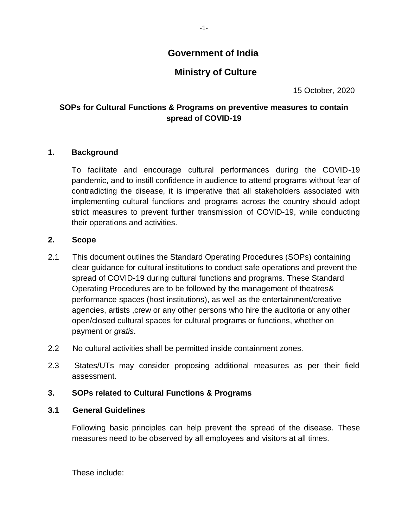## **Government of India**

# **Ministry of Culture**

15 October, 2020

#### **SOPs for Cultural Functions & Programs on preventive measures to contain spread of COVID-19**

#### **1. Background**

To facilitate and encourage cultural performances during the COVID-19 pandemic, and to instill confidence in audience to attend programs without fear of contradicting the disease, it is imperative that all stakeholders associated with implementing cultural functions and programs across the country should adopt strict measures to prevent further transmission of COVID-19, while conducting their operations and activities.

#### **2. Scope**

- 2.1 This document outlines the Standard Operating Procedures (SOPs) containing clear guidance for cultural institutions to conduct safe operations and prevent the spread of COVID-19 during cultural functions and programs. These Standard Operating Procedures are to be followed by the management of theatres& performance spaces (host institutions), as well as the entertainment/creative agencies, artists ,crew or any other persons who hire the auditoria or any other open/closed cultural spaces for cultural programs or functions, whether on payment or *gratis*.
- 2.2 No cultural activities shall be permitted inside containment zones.
- 2.3 States/UTs may consider proposing additional measures as per their field assessment.

#### **3. SOPs related to Cultural Functions & Programs**

#### **3.1 General Guidelines**

Following basic principles can help prevent the spread of the disease. These measures need to be observed by all employees and visitors at all times.

These include: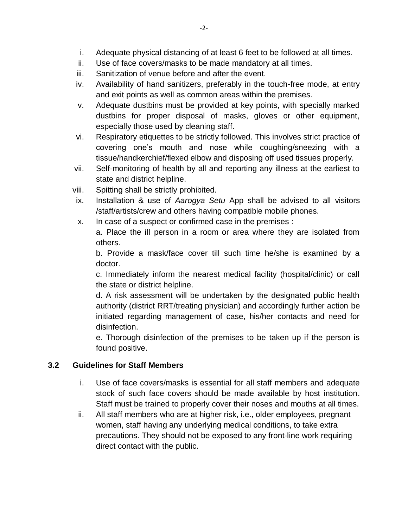- i. Adequate physical distancing of at least 6 feet to be followed at all times.
- ii. Use of face covers/masks to be made mandatory at all times.
- iii. Sanitization of venue before and after the event.
- iv. Availability of hand sanitizers, preferably in the touch-free mode, at entry and exit points as well as common areas within the premises.
- v. Adequate dustbins must be provided at key points, with specially marked dustbins for proper disposal of masks, gloves or other equipment, especially those used by cleaning staff.
- vi. Respiratory etiquettes to be strictly followed. This involves strict practice of covering one's mouth and nose while coughing/sneezing with a tissue/handkerchief/flexed elbow and disposing off used tissues properly.
- vii. Self-monitoring of health by all and reporting any illness at the earliest to state and district helpline.
- viii. Spitting shall be strictly prohibited.
- ix. Installation & use of *Aarogya Setu* App shall be advised to all visitors /staff/artists/crew and others having compatible mobile phones.
- x. In case of a suspect or confirmed case in the premises :

a. Place the ill person in a room or area where they are isolated from others.

b. Provide a mask/face cover till such time he/she is examined by a doctor.

c. Immediately inform the nearest medical facility (hospital/clinic) or call the state or district helpline.

d. A risk assessment will be undertaken by the designated public health authority (district RRT/treating physician) and accordingly further action be initiated regarding management of case, his/her contacts and need for disinfection.

e. Thorough disinfection of the premises to be taken up if the person is found positive.

#### **3.2 Guidelines for Staff Members**

- i. Use of face covers/masks is essential for all staff members and adequate stock of such face covers should be made available by host institution. Staff must be trained to properly cover their noses and mouths at all times.
- ii. All staff members who are at higher risk, i.e., older employees, pregnant women, staff having any underlying medical conditions, to take extra precautions. They should not be exposed to any front-line work requiring direct contact with the public.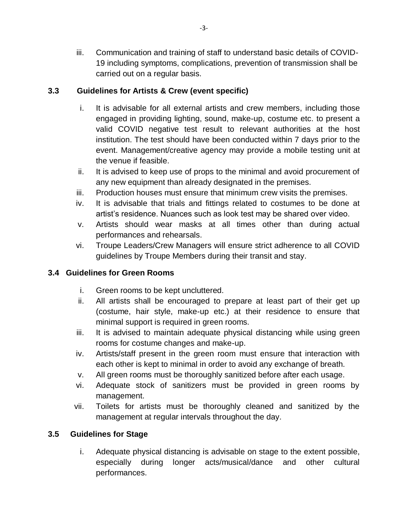iii. Communication and training of staff to understand basic details of COVID-19 including symptoms, complications, prevention of transmission shall be carried out on a regular basis.

## **3.3 Guidelines for Artists & Crew (event specific)**

- i. It is advisable for all external artists and crew members, including those engaged in providing lighting, sound, make-up, costume etc. to present a valid COVID negative test result to relevant authorities at the host institution. The test should have been conducted within 7 days prior to the event. Management/creative agency may provide a mobile testing unit at the venue if feasible.
- ii. It is advised to keep use of props to the minimal and avoid procurement of any new equipment than already designated in the premises.
- iii. Production houses must ensure that minimum crew visits the premises.
- iv. It is advisable that trials and fittings related to costumes to be done at artist's residence. Nuances such as look test may be shared over video.
- v. Artists should wear masks at all times other than during actual performances and rehearsals.
- vi. Troupe Leaders/Crew Managers will ensure strict adherence to all COVID guidelines by Troupe Members during their transit and stay.

## **3.4 Guidelines for Green Rooms**

- i. Green rooms to be kept uncluttered.
- ii. All artists shall be encouraged to prepare at least part of their get up (costume, hair style, make-up etc.) at their residence to ensure that minimal support is required in green rooms.
- iii. It is advised to maintain adequate physical distancing while using green rooms for costume changes and make-up.
- iv. Artists/staff present in the green room must ensure that interaction with each other is kept to minimal in order to avoid any exchange of breath.
- v. All green rooms must be thoroughly sanitized before after each usage.
- vi. Adequate stock of sanitizers must be provided in green rooms by management.
- vii. Toilets for artists must be thoroughly cleaned and sanitized by the management at regular intervals throughout the day.

## **3.5 Guidelines for Stage**

i. Adequate physical distancing is advisable on stage to the extent possible, especially during longer acts/musical/dance and other cultural performances.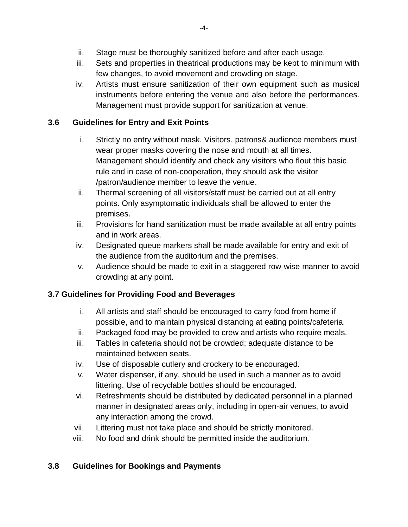- ii. Stage must be thoroughly sanitized before and after each usage.
- iii. Sets and properties in theatrical productions may be kept to minimum with few changes, to avoid movement and crowding on stage.
- iv. Artists must ensure sanitization of their own equipment such as musical instruments before entering the venue and also before the performances. Management must provide support for sanitization at venue.

## **3.6 Guidelines for Entry and Exit Points**

- i. Strictly no entry without mask. Visitors, patrons& audience members must wear proper masks covering the nose and mouth at all times. Management should identify and check any visitors who flout this basic rule and in case of non-cooperation, they should ask the visitor /patron/audience member to leave the venue.
- ii. Thermal screening of all visitors/staff must be carried out at all entry points. Only asymptomatic individuals shall be allowed to enter the premises.
- iii. Provisions for hand sanitization must be made available at all entry points and in work areas.
- iv. Designated queue markers shall be made available for entry and exit of the audience from the auditorium and the premises.
- v. Audience should be made to exit in a staggered row-wise manner to avoid crowding at any point.

## **3.7 Guidelines for Providing Food and Beverages**

- i. All artists and staff should be encouraged to carry food from home if possible, and to maintain physical distancing at eating points/cafeteria.
- ii. Packaged food may be provided to crew and artists who require meals.
- iii. Tables in cafeteria should not be crowded; adequate distance to be maintained between seats.
- iv. Use of disposable cutlery and crockery to be encouraged.
- v. Water dispenser, if any, should be used in such a manner as to avoid littering. Use of recyclable bottles should be encouraged.
- vi. Refreshments should be distributed by dedicated personnel in a planned manner in designated areas only, including in open-air venues, to avoid any interaction among the crowd.
- vii. Littering must not take place and should be strictly monitored.
- viii. No food and drink should be permitted inside the auditorium.

## **3.8 Guidelines for Bookings and Payments**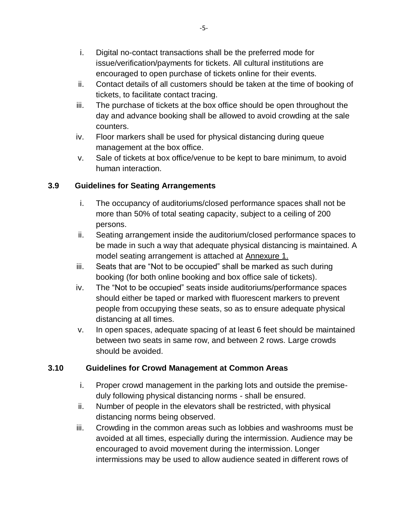- i. Digital no-contact transactions shall be the preferred mode for issue/verification/payments for tickets. All cultural institutions are encouraged to open purchase of tickets online for their events.
- ii. Contact details of all customers should be taken at the time of booking of tickets, to facilitate contact tracing.
- iii. The purchase of tickets at the box office should be open throughout the day and advance booking shall be allowed to avoid crowding at the sale counters.
- iv. Floor markers shall be used for physical distancing during queue management at the box office.
- v. Sale of tickets at box office/venue to be kept to bare minimum, to avoid human interaction.

#### **3.9 Guidelines for Seating Arrangements**

- i. The occupancy of auditoriums/closed performance spaces shall not be more than 50% of total seating capacity, subject to a ceiling of 200 persons.
- ii. Seating arrangement inside the auditorium/closed performance spaces to be made in such a way that adequate physical distancing is maintained. A model seating arrangement is attached at Annexure 1.
- iii. Seats that are "Not to be occupied" shall be marked as such during booking (for both online booking and box office sale of tickets).
- iv. The "Not to be occupied" seats inside auditoriums/performance spaces should either be taped or marked with fluorescent markers to prevent people from occupying these seats, so as to ensure adequate physical distancing at all times.
- v. In open spaces, adequate spacing of at least 6 feet should be maintained between two seats in same row, and between 2 rows. Large crowds should be avoided.

#### **3.10 Guidelines for Crowd Management at Common Areas**

- i. Proper crowd management in the parking lots and outside the premiseduly following physical distancing norms - shall be ensured.
- ii. Number of people in the elevators shall be restricted, with physical distancing norms being observed.
- iii. Crowding in the common areas such as lobbies and washrooms must be avoided at all times, especially during the intermission. Audience may be encouraged to avoid movement during the intermission. Longer intermissions may be used to allow audience seated in different rows of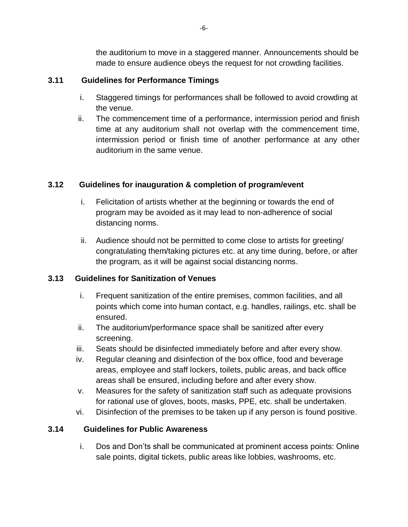the auditorium to move in a staggered manner. Announcements should be made to ensure audience obeys the request for not crowding facilities.

#### **3.11 Guidelines for Performance Timings**

- i. Staggered timings for performances shall be followed to avoid crowding at the venue.
- ii. The commencement time of a performance, intermission period and finish time at any auditorium shall not overlap with the commencement time, intermission period or finish time of another performance at any other auditorium in the same venue.

## **3.12 Guidelines for inauguration & completion of program/event**

- i. Felicitation of artists whether at the beginning or towards the end of program may be avoided as it may lead to non-adherence of social distancing norms.
- ii. Audience should not be permitted to come close to artists for greeting/ congratulating them/taking pictures etc. at any time during, before, or after the program, as it will be against social distancing norms.

## **3.13 Guidelines for Sanitization of Venues**

- i. Frequent sanitization of the entire premises, common facilities, and all points which come into human contact, e.g. handles, railings, etc. shall be ensured.
- ii. The auditorium/performance space shall be sanitized after every screening.
- iii. Seats should be disinfected immediately before and after every show.
- iv. Regular cleaning and disinfection of the box office, food and beverage areas, employee and staff lockers, toilets, public areas, and back office areas shall be ensured, including before and after every show.
- v. Measures for the safety of sanitization staff such as adequate provisions for rational use of gloves, boots, masks, PPE, etc. shall be undertaken.
- vi. Disinfection of the premises to be taken up if any person is found positive.

## **3.14 Guidelines for Public Awareness**

i. Dos and Don'ts shall be communicated at prominent access points: Online sale points, digital tickets, public areas like lobbies, washrooms, etc.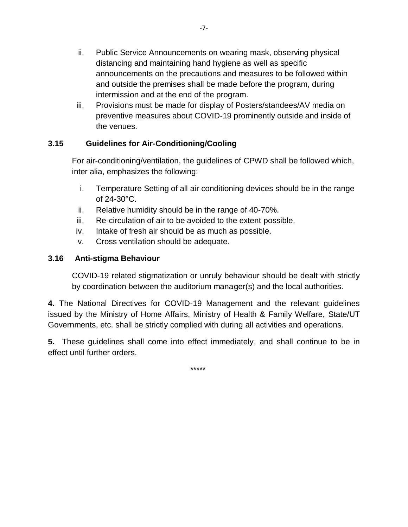- ii. Public Service Announcements on wearing mask, observing physical distancing and maintaining hand hygiene as well as specific announcements on the precautions and measures to be followed within and outside the premises shall be made before the program, during intermission and at the end of the program.
- iii. Provisions must be made for display of Posters/standees/AV media on preventive measures about COVID-19 prominently outside and inside of the venues.

## **3.15 Guidelines for Air-Conditioning/Cooling**

For air-conditioning/ventilation, the guidelines of CPWD shall be followed which, inter alia, emphasizes the following:

- i. Temperature Setting of all air conditioning devices should be in the range of 24-30°C.
- ii. Relative humidity should be in the range of 40-70%.
- iii. Re-circulation of air to be avoided to the extent possible.
- iv. Intake of fresh air should be as much as possible.
- v. Cross ventilation should be adequate.

#### **3.16 Anti-stigma Behaviour**

COVID-19 related stigmatization or unruly behaviour should be dealt with strictly by coordination between the auditorium manager(s) and the local authorities.

**4.** The National Directives for COVID-19 Management and the relevant guidelines issued by the Ministry of Home Affairs, Ministry of Health & Family Welfare, State/UT Governments, etc. shall be strictly complied with during all activities and operations.

**5.** These guidelines shall come into effect immediately, and shall continue to be in effect until further orders.

\*\*\*\*\*